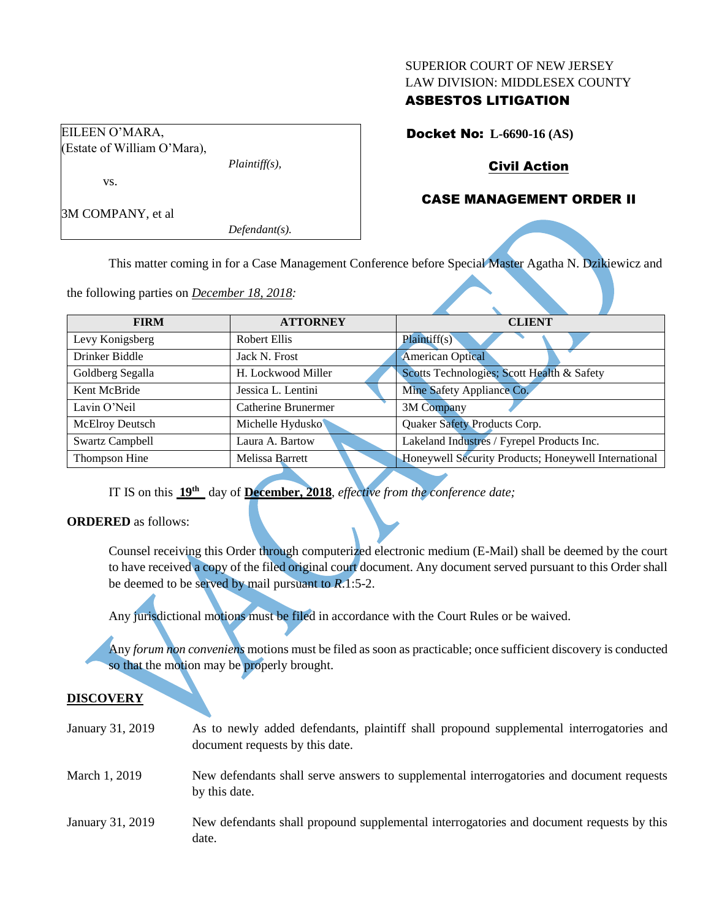#### SUPERIOR COURT OF NEW JERSEY LAW DIVISION: MIDDLESEX COUNTY

# ASBESTOS LITIGATION

Docket No: **L-6690-16 (AS)**

# Civil Action

## CASE MANAGEMENT ORDER II

3M COMPANY, et al

EILEEN O'MARA,

vs.

(Estate of William O'Mara),

*Defendant(s).*

*Plaintiff(s),*

This matter coming in for a Case Management Conference before Special Master Agatha N. Dzikiewicz and

the following parties on *December 18, 2018:*

| <b>FIRM</b>            | <b>ATTORNEY</b>        | <b>CLIENT</b>                                        |  |  |  |
|------------------------|------------------------|------------------------------------------------------|--|--|--|
| Levy Konigsberg        | <b>Robert Ellis</b>    | Plaintiff(s)                                         |  |  |  |
| Drinker Biddle         | Jack N. Frost          | <b>American Optical</b>                              |  |  |  |
| Goldberg Segalla       | H. Lockwood Miller     | Scotts Technologies; Scott Health & Safety           |  |  |  |
| Kent McBride           | Jessica L. Lentini     | Mine Safety Appliance Co.                            |  |  |  |
| Lavin O'Neil           | Catherine Brunermer    | 3M Company                                           |  |  |  |
| <b>McElroy Deutsch</b> | Michelle Hydusko       | Quaker Safety Products Corp.                         |  |  |  |
| <b>Swartz Campbell</b> | Laura A. Bartow        | Lakeland Industres / Fyrepel Products Inc.           |  |  |  |
| Thompson Hine          | <b>Melissa Barrett</b> | Honeywell Security Products; Honeywell International |  |  |  |
|                        |                        |                                                      |  |  |  |

IT IS on this  $19<sup>th</sup>$  day of December, 2018, *effective from the conference date*;

**ORDERED** as follows:

Counsel receiving this Order through computerized electronic medium (E-Mail) shall be deemed by the court to have received a copy of the filed original court document. Any document served pursuant to this Order shall be deemed to be served by mail pursuant to *R*.1:5-2.

Any jurisdictional motions must be filed in accordance with the Court Rules or be waived.

Any *forum non conveniens* motions must be filed as soon as practicable; once sufficient discovery is conducted so that the motion may be properly brought.

### **DISCOVERY**

| January 31, 2019 | As to newly added defendants, plaintiff shall propound supplemental interrogatories and<br>document requests by this date. |
|------------------|----------------------------------------------------------------------------------------------------------------------------|
| March 1, 2019    | New defendants shall serve answers to supplemental interrogatories and document requests<br>by this date.                  |
| January 31, 2019 | New defendants shall propound supplemental interrogatories and document requests by this<br>date.                          |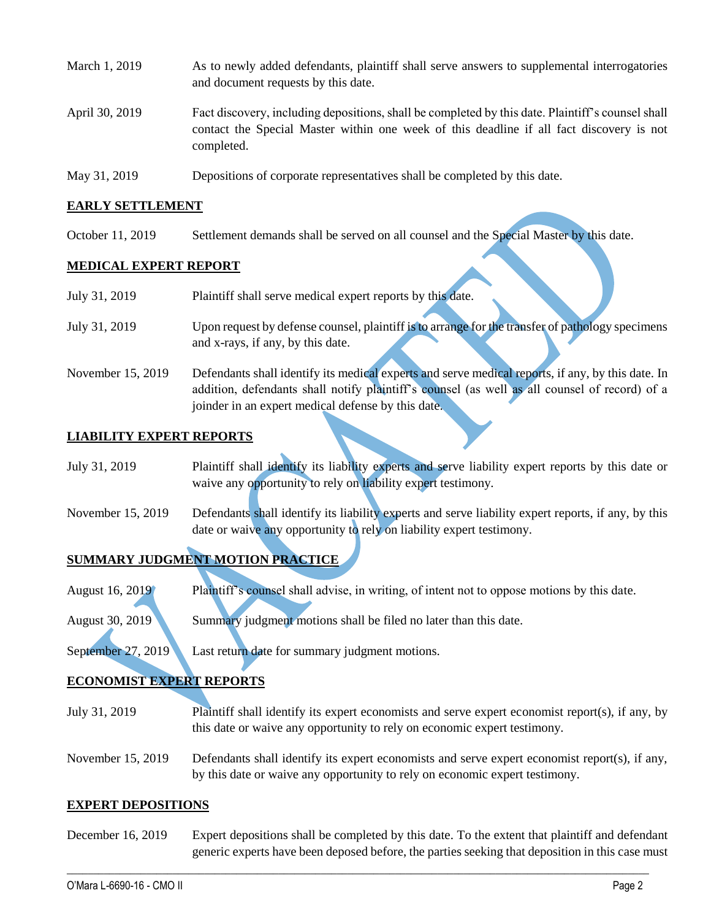- March 1, 2019 As to newly added defendants, plaintiff shall serve answers to supplemental interrogatories and document requests by this date. April 30, 2019 Fact discovery, including depositions, shall be completed by this date. Plaintiff's counsel shall contact the Special Master within one week of this deadline if all fact discovery is not completed.
- May 31, 2019 Depositions of corporate representatives shall be completed by this date.

joinder in an expert medical defense by this date.

### **EARLY SETTLEMENT**

October 11, 2019 Settlement demands shall be served on all counsel and the Special Master by this date.

### **MEDICAL EXPERT REPORT**

| July 31, 2019     | Plaintiff shall serve medical expert reports by this date.                                                                                                                                         |
|-------------------|----------------------------------------------------------------------------------------------------------------------------------------------------------------------------------------------------|
| July 31, 2019     | Upon request by defense counsel, plaintiff is to arrange for the transfer of pathology specimens<br>and x-rays, if any, by this date.                                                              |
| November 15, 2019 | Defendants shall identify its medical experts and serve medical reports, if any, by this date. In<br>addition, defendants shall notify plaintiff's counsel (as well as all counsel of record) of a |

### **LIABILITY EXPERT REPORTS**

| July 31, 2019 | Plaintiff shall identify its liability experts and serve liability expert reports by this date or |  |  |  |  |
|---------------|---------------------------------------------------------------------------------------------------|--|--|--|--|
|               | waive any opportunity to rely on liability expert testimony.                                      |  |  |  |  |

November 15, 2019 Defendants shall identify its liability experts and serve liability expert reports, if any, by this date or waive any opportunity to rely on liability expert testimony.

# **SUMMARY JUDGMENT MOTION PRACTICE**

August 16, 2019 Plaintiff's counsel shall advise, in writing, of intent not to oppose motions by this date.

August 30, 2019 Summary judgment motions shall be filed no later than this date.

September 27, 2019 Last return date for summary judgment motions.

### **ECONOMIST EXPERT REPORTS**

- July 31, 2019 Plaintiff shall identify its expert economists and serve expert economist report(s), if any, by this date or waive any opportunity to rely on economic expert testimony.
- November 15, 2019 Defendants shall identify its expert economists and serve expert economist report(s), if any, by this date or waive any opportunity to rely on economic expert testimony.

#### **EXPERT DEPOSITIONS**

December 16, 2019 Expert depositions shall be completed by this date. To the extent that plaintiff and defendant generic experts have been deposed before, the parties seeking that deposition in this case must

 $\_$  , and the set of the set of the set of the set of the set of the set of the set of the set of the set of the set of the set of the set of the set of the set of the set of the set of the set of the set of the set of th